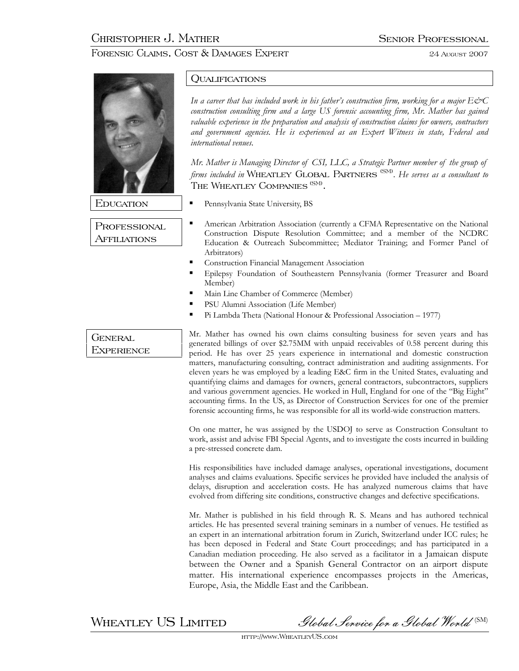# Forensic Claims, Cost & Damages Expert 24 August 2007



PROFESSIONAL Affiliations

# **OUALIFICATIONS**

*In a career that has included work in his father's construction firm, working for a major E&C construction consulting firm and a large US forensic accounting firm, Mr. Mather has gained valuable experience in the preparation and analysis of construction claims for owners, contractors and government agencies. He is experienced as an Expert Witness in state, Federal and international venues.* 

*Mr. Mather is Managing Director of CSI, LLC, a Strategic Partner member of the group of firms included in* Wheatley Global Partners (SM). *He serves as a consultant to* THE WHEATLEY COMPANIES <sup>(SM)</sup>.

- EDUCATION | Pennsylvania State University, BS
	- American Arbitration Association (currently a CFMA Representative on the National Construction Dispute Resolution Committee; and a member of the NCDRC Education & Outreach Subcommittee; Mediator Training; and Former Panel of Arbitrators)
	- **Construction Financial Management Association**
	- Epilepsy Foundation of Southeastern Pennsylvania (former Treasurer and Board Member)
	- **Main Line Chamber of Commerce (Member)**
	- **PSU Alumni Association (Life Member)**
	- Pi Lambda Theta (National Honour & Professional Association 1977)

Mr. Mather has owned his own claims consulting business for seven years and has generated billings of over \$2.75MM with unpaid receivables of 0.58 percent during this period. He has over 25 years experience in international and domestic construction matters, manufacturing consulting, contract administration and auditing assignments. For eleven years he was employed by a leading E&C firm in the United States, evaluating and quantifying claims and damages for owners, general contractors, subcontractors, suppliers and various government agencies. He worked in Hull, England for one of the "Big Eight" accounting firms. In the US, as Director of Construction Services for one of the premier forensic accounting firms, he was responsible for all its world-wide construction matters.

On one matter, he was assigned by the USDOJ to serve as Construction Consultant to work, assist and advise FBI Special Agents, and to investigate the costs incurred in building a pre-stressed concrete dam.

His responsibilities have included damage analyses, operational investigations, document analyses and claims evaluations. Specific services he provided have included the analysis of delays, disruption and acceleration costs. He has analyzed numerous claims that have evolved from differing site conditions, constructive changes and defective specifications.

Mr. Mather is published in his field through R. S. Means and has authored technical articles. He has presented several training seminars in a number of venues. He testified as an expert in an international arbitration forum in Zurich, Switzerland under ICC rules; he has been deposed in Federal and State Court proceedings; and has participated in a Canadian mediation proceeding. He also served as a facilitator in a Jamaican dispute between the Owner and a Spanish General Contractor on an airport dispute matter. His international experience encompasses projects in the Americas, Europe, Asia, the Middle East and the Caribbean.

WHEATLEY US LIMITED Slobal Service for a Global World (SM)

http://www.WheatleyUS.com

GENERAL **EXPERIENCE**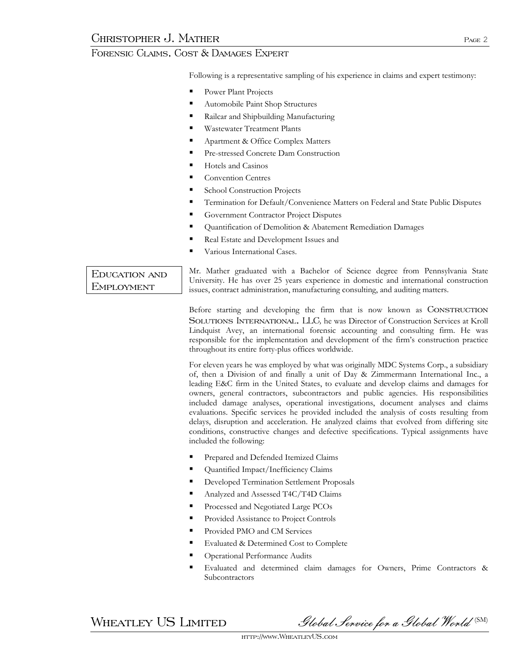Following is a representative sampling of his experience in claims and expert testimony:

- **Power Plant Projects**
- Automobile Paint Shop Structures
- Railcar and Shipbuilding Manufacturing
- **Wastewater Treatment Plants**
- Apartment & Office Complex Matters
- Pre-stressed Concrete Dam Construction
- Hotels and Casinos
- Convention Centres
- School Construction Projects
- **Termination for Default/Convenience Matters on Federal and State Public Disputes**
- Government Contractor Project Disputes
- **Quantification of Demolition & Abatement Remediation Damages**
- Real Estate and Development Issues and
- Various International Cases.

## Education and Employment

Mr. Mather graduated with a Bachelor of Science degree from Pennsylvania State University. He has over 25 years experience in domestic and international construction issues, contract administration, manufacturing consulting, and auditing matters.

Before starting and developing the firm that is now known as CONSTRUCTION Solutions International, LLC*,* he was Director of Construction Services at Kroll Lindquist Avey, an international forensic accounting and consulting firm. He was responsible for the implementation and development of the firm's construction practice throughout its entire forty-plus offices worldwide.

For eleven years he was employed by what was originally MDC Systems Corp., a subsidiary of, then a Division of and finally a unit of Day & Zimmermann International Inc., a leading E&C firm in the United States, to evaluate and develop claims and damages for owners, general contractors, subcontractors and public agencies. His responsibilities included damage analyses, operational investigations, document analyses and claims evaluations. Specific services he provided included the analysis of costs resulting from delays, disruption and acceleration. He analyzed claims that evolved from differing site conditions, constructive changes and defective specifications. Typical assignments have included the following:

- **Prepared and Defended Itemized Claims**
- **•** Quantified Impact/Inefficiency Claims
- Developed Termination Settlement Proposals
- Analyzed and Assessed T4C/T4D Claims
- **Processed and Negotiated Large PCOs**
- **Provided Assistance to Project Controls**
- Provided PMO and CM Services
- Evaluated & Determined Cost to Complete
- Operational Performance Audits
- Evaluated and determined claim damages for Owners, Prime Contractors & Subcontractors

WHEATLEY US LIMITED Slobal Service for a Global World (SM)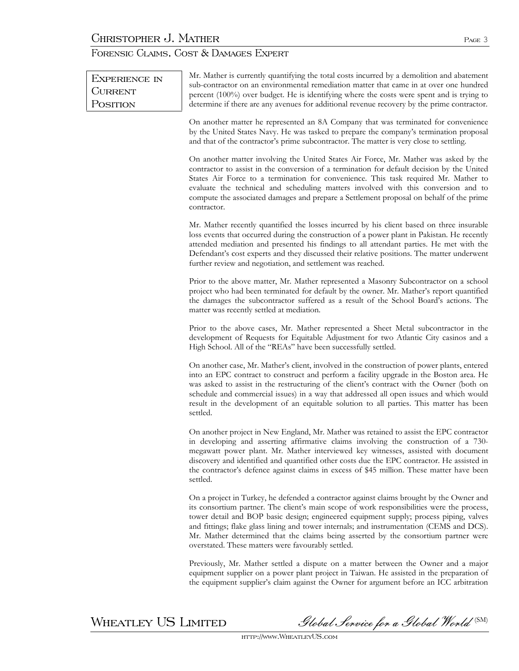| <b>EXPERIENCE IN</b><br><b>CURRENT</b><br>POSITION | Mr. Mather is currently quantifying the total costs incurred by a demolition and abatement<br>sub-contractor on an environmental remediation matter that came in at over one hundred<br>percent (100%) over budget. He is identifying where the costs were spent and is trying to<br>determine if there are any avenues for additional revenue recovery by the prime contractor.                                                                                                                                           |
|----------------------------------------------------|----------------------------------------------------------------------------------------------------------------------------------------------------------------------------------------------------------------------------------------------------------------------------------------------------------------------------------------------------------------------------------------------------------------------------------------------------------------------------------------------------------------------------|
|                                                    | On another matter he represented an 8A Company that was terminated for convenience<br>by the United States Navy. He was tasked to prepare the company's termination proposal<br>and that of the contractor's prime subcontractor. The matter is very close to settling.                                                                                                                                                                                                                                                    |
|                                                    | On another matter involving the United States Air Force, Mr. Mather was asked by the<br>contractor to assist in the conversion of a termination for default decision by the United<br>States Air Force to a termination for convenience. This task required Mr. Mather to<br>evaluate the technical and scheduling matters involved with this conversion and to<br>compute the associated damages and prepare a Settlement proposal on behalf of the prime<br>contractor.                                                  |
|                                                    | Mr. Mather recently quantified the losses incurred by his client based on three insurable<br>loss events that occurred during the construction of a power plant in Pakistan. He recently<br>attended mediation and presented his findings to all attendant parties. He met with the<br>Defendant's cost experts and they discussed their relative positions. The matter underwent<br>further review and negotiation, and settlement was reached.                                                                           |
|                                                    | Prior to the above matter, Mr. Mather represented a Masonry Subcontractor on a school<br>project who had been terminated for default by the owner. Mr. Mather's report quantified<br>the damages the subcontractor suffered as a result of the School Board's actions. The<br>matter was recently settled at mediation.                                                                                                                                                                                                    |
|                                                    | Prior to the above cases, Mr. Mather represented a Sheet Metal subcontractor in the<br>development of Requests for Equitable Adjustment for two Atlantic City casinos and a<br>High School. All of the "REAs" have been successfully settled.                                                                                                                                                                                                                                                                              |
|                                                    | On another case, Mr. Mather's client, involved in the construction of power plants, entered<br>into an EPC contract to construct and perform a facility upgrade in the Boston area. He<br>was asked to assist in the restructuring of the client's contract with the Owner (both on<br>schedule and commercial issues) in a way that addressed all open issues and which would<br>result in the development of an equitable solution to all parties. This matter has been<br>settled.                                      |
|                                                    | On another project in New England, Mr. Mather was retained to assist the EPC contractor<br>in developing and asserting affirmative claims involving the construction of a 730-<br>megawatt power plant. Mr. Mather interviewed key witnesses, assisted with document<br>discovery and identified and quantified other costs due the EPC contractor. He assisted in<br>the contractor's defence against claims in excess of \$45 million. These matter have been<br>settled.                                                |
|                                                    | On a project in Turkey, he defended a contractor against claims brought by the Owner and<br>its consortium partner. The client's main scope of work responsibilities were the process,<br>tower detail and BOP basic design; engineered equipment supply; process piping, valves<br>and fittings; flake glass lining and tower internals; and instrumentation (CEMS and DCS).<br>Mr. Mather determined that the claims being asserted by the consortium partner were<br>overstated. These matters were favourably settled. |

Previously, Mr. Mather settled a dispute on a matter between the Owner and a major equipment supplier on a power plant project in Taiwan. He assisted in the preparation of the equipment supplier's claim against the Owner for argument before an ICC arbitration

WHEATLEY US LIMITED Slobal Service for a Global World (SM)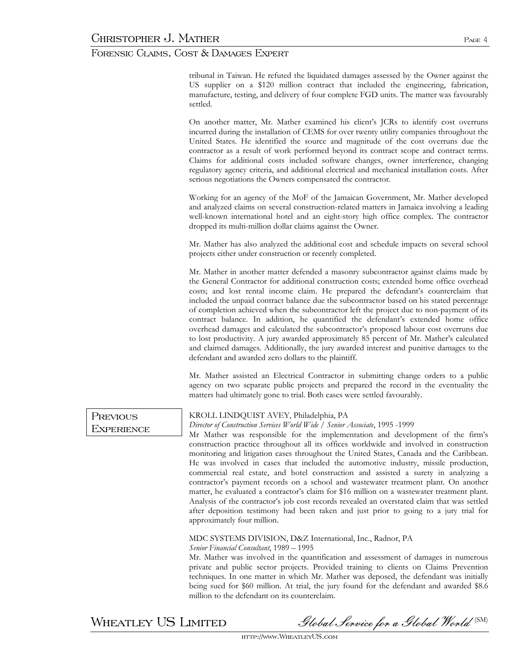tribunal in Taiwan. He refuted the liquidated damages assessed by the Owner against the US supplier on a \$120 million contract that included the engineering, fabrication, manufacture, testing, and delivery of four complete FGD units. The matter was favourably settled.

On another matter, Mr. Mather examined his client's JCRs to identify cost overruns incurred during the installation of CEMS for over twenty utility companies throughout the United States. He identified the source and magnitude of the cost overruns due the contractor as a result of work performed beyond its contract scope and contract terms. Claims for additional costs included software changes, owner interference, changing regulatory agency criteria, and additional electrical and mechanical installation costs. After serious negotiations the Owners compensated the contractor.

Working for an agency of the MoF of the Jamaican Government, Mr. Mather developed and analyzed claims on several construction-related matters in Jamaica involving a leading well-known international hotel and an eight-story high office complex. The contractor dropped its multi-million dollar claims against the Owner.

Mr. Mather has also analyzed the additional cost and schedule impacts on several school projects either under construction or recently completed.

Mr. Mather in another matter defended a masonry subcontractor against claims made by the General Contractor for additional construction costs; extended home office overhead costs; and lost rental income claim. He prepared the defendant's counterclaim that included the unpaid contract balance due the subcontractor based on his stated percentage of completion achieved when the subcontractor left the project due to non-payment of its contract balance. In addition, he quantified the defendant's extended home office overhead damages and calculated the subcontractor's proposed labour cost overruns due to lost productivity. A jury awarded approximately 85 percent of Mr. Mather's calculated and claimed damages. Additionally, the jury awarded interest and punitive damages to the defendant and awarded zero dollars to the plaintiff.

Mr. Mather assisted an Electrical Contractor in submitting change orders to a public agency on two separate public projects and prepared the record in the eventuality the matters had ultimately gone to trial. Both cases were settled favourably.

### **PREVIOUS EXPERIENCE**

### KROLL LINDQUIST AVEY, Philadelphia, PA

*Director of Construction Services World Wide / Senior Associate*, 1995 -1999

Mr Mather was responsible for the implementation and development of the firm's construction practice throughout all its offices worldwide and involved in construction monitoring and litigation cases throughout the United States, Canada and the Caribbean. He was involved in cases that included the automotive industry, missile production, commercial real estate, and hotel construction and assisted a surety in analyzing a contractor's payment records on a school and wastewater treatment plant. On another matter, he evaluated a contractor's claim for \$16 million on a wastewater treatment plant. Analysis of the contractor's job cost records revealed an overstated claim that was settled after deposition testimony had been taken and just prior to going to a jury trial for approximately four million.

#### MDC SYSTEMS DIVISION, D&Z International, Inc., Radnor, PA *Senior Financial Consultant*, 1989 – 1995

Mr. Mather was involved in the quantification and assessment of damages in numerous private and public sector projects. Provided training to clients on Claims Prevention techniques. In one matter in which Mr. Mather was deposed, the defendant was initially being sued for \$60 million. At trial, the jury found for the defendant and awarded \$8.6 million to the defendant on its counterclaim.

WHEATLEY US LIMITED Slobal Service for a Global World (SM)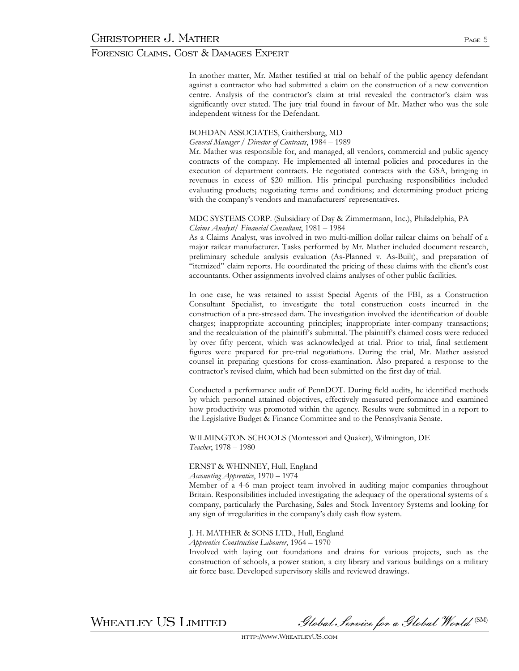In another matter, Mr. Mather testified at trial on behalf of the public agency defendant against a contractor who had submitted a claim on the construction of a new convention centre. Analysis of the contractor's claim at trial revealed the contractor's claim was significantly over stated. The jury trial found in favour of Mr. Mather who was the sole independent witness for the Defendant.

#### BOHDAN ASSOCIATES, Gaithersburg, MD

#### *General Manager / Director of Contracts*, 1984 – 1989

Mr. Mather was responsible for, and managed, all vendors, commercial and public agency contracts of the company. He implemented all internal policies and procedures in the execution of department contracts. He negotiated contracts with the GSA, bringing in revenues in excess of \$20 million. His principal purchasing responsibilities included evaluating products; negotiating terms and conditions; and determining product pricing with the company's vendors and manufacturers' representatives.

#### MDC SYSTEMS CORP. (Subsidiary of Day & Zimmermann, Inc.), Philadelphia, PA *Claims Analyst/ Financial Consultant*, 1981 – 1984

As a Claims Analyst, was involved in two multi-million dollar railcar claims on behalf of a major railcar manufacturer. Tasks performed by Mr. Mather included document research, preliminary schedule analysis evaluation (As-Planned v. As-Built), and preparation of "itemized" claim reports. He coordinated the pricing of these claims with the client's cost accountants. Other assignments involved claims analyses of other public facilities.

In one case, he was retained to assist Special Agents of the FBI, as a Construction Consultant Specialist, to investigate the total construction costs incurred in the construction of a pre-stressed dam. The investigation involved the identification of double charges; inappropriate accounting principles; inappropriate inter-company transactions; and the recalculation of the plaintiff's submittal. The plaintiff's claimed costs were reduced by over fifty percent, which was acknowledged at trial. Prior to trial, final settlement figures were prepared for pre-trial negotiations. During the trial, Mr. Mather assisted counsel in preparing questions for cross-examination. Also prepared a response to the contractor's revised claim, which had been submitted on the first day of trial.

Conducted a performance audit of PennDOT. During field audits, he identified methods by which personnel attained objectives, effectively measured performance and examined how productivity was promoted within the agency. Results were submitted in a report to the Legislative Budget & Finance Committee and to the Pennsylvania Senate.

WILMINGTON SCHOOLS (Montessori and Quaker), Wilmington, DE *Teacher*, 1978 – 1980

### ERNST & WHINNEY, Hull, England

*Accounting Apprentice*, 1970 – 1974

Member of a 4-6 man project team involved in auditing major companies throughout Britain. Responsibilities included investigating the adequacy of the operational systems of a company, particularly the Purchasing, Sales and Stock Inventory Systems and looking for any sign of irregularities in the company's daily cash flow system.

#### J. H. MATHER & SONS LTD., Hull, England

*Apprentice Construction Labourer*, 1964 – 1970

Involved with laying out foundations and drains for various projects, such as the construction of schools, a power station, a city library and various buildings on a military air force base. Developed supervisory skills and reviewed drawings.

 $\,$ WHEATLEY US LIMITED Slobal Service for a Global World  $^{\text{\tiny{(SM)}}}$